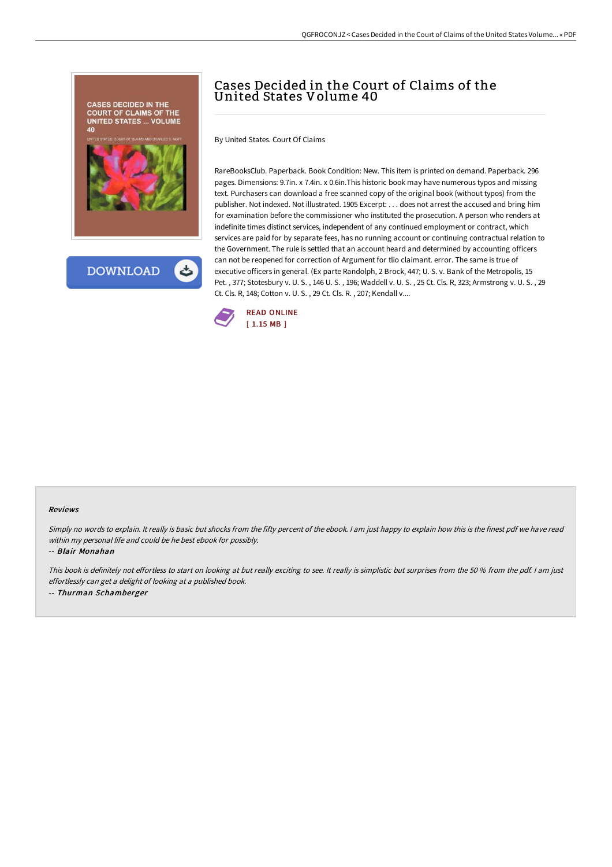



# Cases Decided in the Court of Claims of the United States Volume 40

By United States. Court Of Claims

RareBooksClub. Paperback. Book Condition: New. This item is printed on demand. Paperback. 296 pages. Dimensions: 9.7in. x 7.4in. x 0.6in.This historic book may have numerous typos and missing text. Purchasers can download a free scanned copy of the original book (without typos) from the publisher. Not indexed. Not illustrated. 1905 Excerpt: . . . does not arrest the accused and bring him for examination before the commissioner who instituted the prosecution. A person who renders at indefinite times distinct services, independent of any continued employment or contract, which services are paid for by separate fees, has no running account or continuing contractual relation to the Government. The rule is settled that an account heard and determined by accounting officers can not be reopened for correction of Argument for tlio claimant. error. The same is true of executive officers in general. (Ex parte Randolph, 2 Brock, 447; U. S. v. Bank of the Metropolis, 15 Pet. , 377; Stotesbury v. U. S. , 146 U. S. , 196; Waddell v. U. S. , 25 Ct. Cls. R, 323; Armstrong v. U. S. , 29 Ct. Cls. R, 148; Cotton v. U. S. , 29 Ct. Cls. R. , 207; Kendall v....



#### Reviews

Simply no words to explain. It really is basic but shocks from the fifty percent of the ebook. I am just happy to explain how this is the finest pdf we have read within my personal life and could be he best ebook for possibly.

-- Blair Monahan

This book is definitely not effortless to start on looking at but really exciting to see. It really is simplistic but surprises from the 50 % from the pdf. I am just effortlessly can get <sup>a</sup> delight of looking at <sup>a</sup> published book. -- Thurman Schamberger